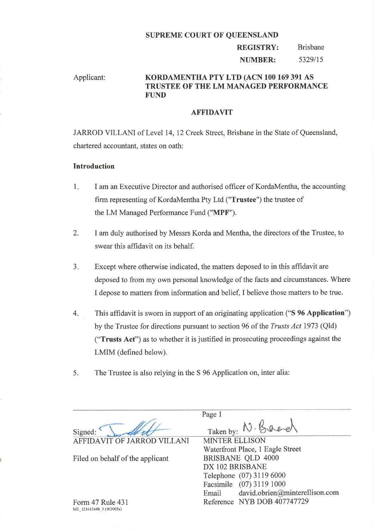#### SUPREME COURT OF QUEENSLAND

#### REGISTRY: NUMBER: Brisbane 5329/15

# Applicant: KORDAMENTHA PTY LTD (ACN 100 169 391 AS TRUSTEE OF THE LM MANAGED PERFORMANCE FUND

## **AFFIDAVIT**

JARROD VILLANI of Level 14,12 Creek Street, Brisbane in the State of Queensland, chartered accountant, states on oath:

### Introduction

- I am an Executive Director and authorised offrcer of KordaMentha, the accounting firm representing of KordaMentha Pty Ltd ("Trustee") the trustee of the LM Managed Performance Fund ("MPF"). 1
- I am duly authorised by Messrs Korda and Mentha, the directors of the Trustee, to swear this affidavit on its behalf. .,
- Except where otherwise indicated, the matters deposed to in this affidavit are deposed to from my own personal knowledge of the facts and circumstances. Where I depose to matters from information and belief, I believe those matters to be true. a J
- This affrdavit is sworn in support of an originating application ("S 96 Application") by the Trustee for directions pursuant to section 96 of the Trusts Act 1973 (Qld) ("Trusts Act") as to whether it is justified in prosecuting proceedings against the LMIM (defined below). 4
- 5. The Trustee is also relying in the S 96 Application on, inter alia:

Signed: AFFIDAVIT OF JARROD VILLANI

Filed on behalf of the applicant

Page <sup>1</sup> Taken by: N. Bace

MINTER ELLISON Waterfront Place, 1 Eagle Street BRISBANE OLD 4000 DX IO2 BRISBANE Telephone (07) 3119 6000 Facsimile (07) 3119 1000 Email david.obrien@minterellison.com Reference NYB DOB 407747729

Form 47 Rule 431 NIE 121613448 3 (W2003x)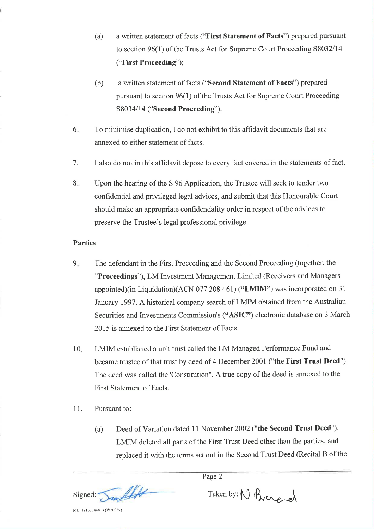- (a) a written statement of facts ("First Statement of Facts") prepared pursuant to section 96(1) of the Trusts Act for Supreme Court Proceeding 58032114 ("First Proceeding");
- (b) a written statement of facts ("Second Statement of Facts") prepared pursuant to section 96(1) of the Trusts Act for Supreme Court Proceeding S8034/14 ("Second Proceeding").
- 6 To minimise duplication, I do not exhibit to this afhdavit documents that are annexed to either statement of facts.
- <sup>7</sup>. I also do not in this affrdavit depose to every fact covered in the statements of fact.
- 8 Upon the hearing of the S 96 Application, the Trustee will seek to tender two confidential and privileged legal advices, and submit that this Honourable Court should make an appropriate confidentiality order in respect of the advices to preserve the Trustee's legal professional privilege.

# Parties

- The defendant in the First Proceeding and the Second Proceeding (together, the "Proceedings"), LM Investment Management Limited (Receivers and Managers appointed)(in Liquidation)(ACN 077 208 461) ("LMIM") was incorporated on <sup>31</sup> January 1997. A historical company search of LMIM obtained from the Australian Securities and Investments Commission's ("ASIC") electronic database on 3 March 2015 is annexed to the First Statement of Facts.  $9<sub>r</sub>$
- LMIM established a unit trust called the LM Managed Performance Fund and became trustee of that trust by deed of 4 December 2001 ("the First Trust Deed"). The deed was called the 'Constitution". A true copy of the deed is annexed to the First Statement of Facts. 10
- <sup>1</sup>1. Pursuant to:
	- (a) Deed of Variation dated 11 November 2002 ("the Second Trust Deed"), LMIM deleted all parts of the First Trust Deed other than the parties, and replaced it with the terms set out in the Second Trust Deed (Recital B of the

Page 2

alls Signed:

Taken by: N Brangol

MË 121613448\_3 (W2003x)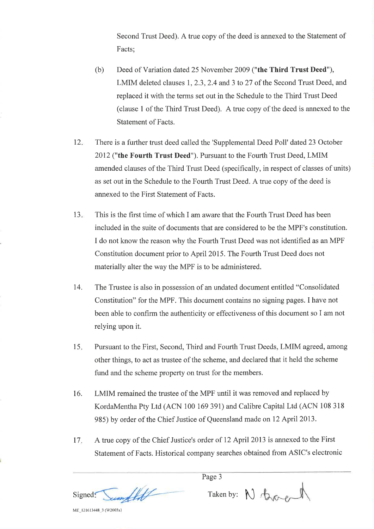Second Trust Deed). A true copy of the deed is annexed to the Statement of Facts;

- (b) Deed of Variation dated 25 November 2009 ("the Third Trust Deed"), LMIM deleted clauses 1, 2.3, 2.4 and 3 to 27 of the Second Trust Deed, and replaced it with the terms set out in the Schedule to the Third Trust Deed (clause I of the Third Trust Deed). A true copy of the deed is annexed to the Statement of Facts.
- $12.$ There is a further trust deed called the 'Supplemental Deed Poll' dated 23 October 2012 ("the Fourth Trust Deed"). Pursuant to the Fourth Trust Deed, LMIM amended clauses of the Third Trust Deed (specifically, in respect of classes of units) as set out in the Schedule to the Fourth Trust Deed. A true copy of the deed is annexed to the First Statement of Facts.
- $13.$ This is the first time of which I am aware that the Fourth Trust Deed has been included in the suite of documents that are considered to be the MPF's constitution. I do not know the reason why the Fourth Trust Deed was not identified as an MPF Constitution document prior to April 2015. The Fourth Trust Deed does not materially alter the way the MPF is to be administered.
- 14. The Trustee is also in possession of an undated document entitled "Consolidated Constitution" for the MPF. This document contains no signing pages. I have not been able to confirm the authenticity or effectiveness of this document so I am not relying upon it.
- 15 Pursuant to the First, Second, Third and Fourth Trust Deeds, LMIM agreed, among other things, to act as trustee of the scheme, and declared that it held the scheme fund and the scheme property on trust for the members.
- 16. LMIM remained the trustee of the MPF until it was removed and replaced by KordaMentha Pty Ltd (ACN 100 169 391) and Calibre Capital Ltd (ACN 108 318 985) by order of the Chief Justice of Queensland made on 12 April 2013.
- l7 A true copy of the Chief Justice's order of 12 April 2013 is annexed to the First Statement of Facts. Historical company searches obtained from ASIC's electronic

Signed: Sumflett Taken by: N Brongel

Page 3

ME 121613448 3 (W2003x)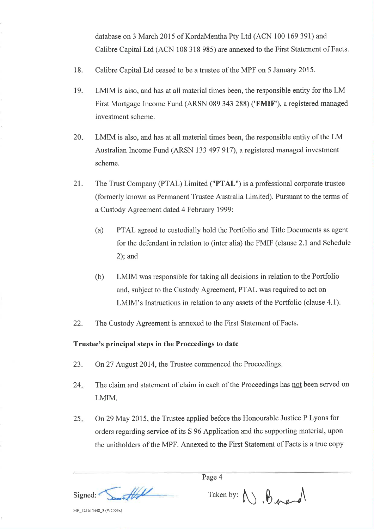database on 3 March 2015 of KordaMentha Pty Ltd (ACN 100 169 391) and Calibre Capital Ltd (ACN 108 318 985) are annexed to the First Statement of Facts.

- 18. Calibre Capital Ltd ceased to be a trustee of the MPF on 5 January 2015.
- 19. LMIM is also, and has at all material times been, the responsible entity for the LM First Mortgage Income Fund (ARSN 089 343 288) ('FMIF'), a registered managed investment scheme.
- 20 LMIM is also, and has at all material times been, the responsible entity of the LM Australian Income Fund (ARSN 133 497 917), a registered managed investment scheme.
- 2r. The Trust Company (PTAL) Limited ("PTAL") is a professional corporate trustee (formerly known as Permanent Trustee Australia Limited). Pursuant to the terms of a Custody Agreement dated 4 February 1999:
	- (a) PTAL agreed to custodially hold the Portfolio and Title Documents as agent for the defendant in relation to (inter alia) the FMIF (clause 2.1 and Schedule 2); and
	- (b) LMIM was responsible for taking all decisions in relation to the Portfolio and, subject to the Custody Agreement, PTAL was required to act on LMIM's Instructions in relation to any assets of the Portfolio (clause 4.1).
- 22. The Custody Agreement is annexed to the First Statement of Facts.

## Trustee's principal steps in the Proceedings to date

- 23. On 27 August 2014, the Trustee commenced the Proceedings.
- The claim and statement of claim in each of the Proceedings has not been served on LMIM. 24.
- On29 May 2015, the Trustee applied before the Honourable Justice P Lyons for orders regarding service of its S 96 Application and the supportingmaterial, upon the unitholders of the MPF. Annexed to the First Statement of Facts is a true copy 25

 $\mathcal{H}$ Signed:

Page 4

 $Taken by:  $\bigwedge$ ,  $\bigwedge$ ,  $\bigwedge$ ,  $\bigwedge$ , and  $\bigwedge$$ 

ME\_121613448\_3 (W2003x)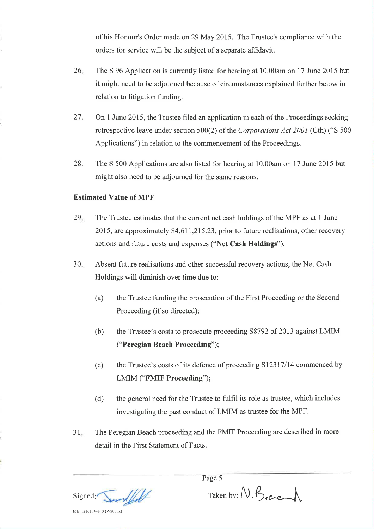of his Honour's Order made on 29 May 2015. The Trustee's compliance with the orders for service will be the subject of a separate affrdavit.

- The S 96 Application is currently listed for hearing at l0.00am on 17 June 2015 but it might need to be adjourned because of circumstances explained further below in relation to litigation funding. 26
- On I June 2015, the Trustee filed an application in each of the Proceedings seeking retrospective leave under section 500(2) of the Corporations Act 2001 (Cth) ("S 500 Applications") in relation to the commencement of the Proceedings. 27.
- The S 500 Applications are also listed for hearing at 10.00am on 17 June 2015 but might also need to be adjourned for the same reasons. 28.

# Estimated Value of MPF

- The Trustee estimates that the current net cash holdings of the MPF as at 1 June 2015, are approximately \$4,611,215.23, prior to future realisations, other recovery actions and future costs and expenses ("Net Cash Holdings"). 29
- Absent future realisations and other successful recovery actions, the Net Cash Holdings will diminish over time due to: 30
	- (a) the Trustee funding the prosecution of the First Proceeding or the Second Proceeding (if so directed);
	- (b) the Trustee's costs to prosecute proceeding S8792 of 2013 against LMIM ("Peregian Beach Proceeding");
	- (c) the Trustee's costs of its defence of proceeding Sl23l7l14 commenced by LMIM ("FMIF Proceeding");
	- (d) the general need for the Trustee to fulfil its role as trustee, which includes investigating the past conduct of LMIM as trustee for the MPF.
- 3l The Peregian Beach proceeding and the FMIF Proceeding are described in more detail in the First Statement of Facts.

Signed: Some

Page 5

 $Taken by: N. B.$ 

ME\_121613448\_3 (W2003x)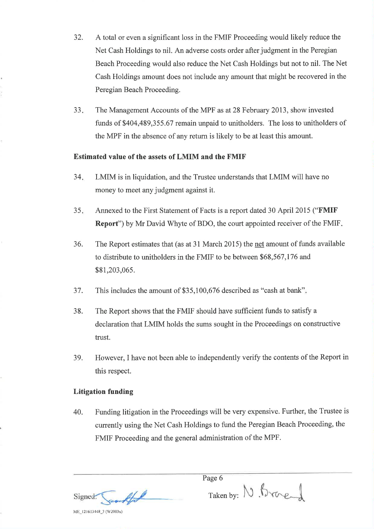- 32. A total or even a significant loss in the FMIF Proceeding would likely reduce the Net Cash Holdings to nil. An adverse costs order after judgment in the Peregian Beach Proceeding would also reduce the Net Cash Holdings but not to nil. The Net Cash Holdings amount does not include any amount that might be recovered in the Peregian Beach Proceeding.
- $33.$ The Management Accounts of the MPF as at 28 February 2013, show invested funds of \$404,489,355.67 remain unpaid to unitholders. The loss to unitholders of the MPF in the absence of any return is likely to be at least this amount.

# Estimated value of the assets of LMIM and the FMIF

- 34 LMIM is in liquidation, and the Trustee understands that LMIM will have no money to meet any judgment against it.
- <sup>35</sup> Annexed to the First Statement of Facts is a report dated 30 April2015 ("FMIF Report") by Mr David Whyte of BDO, the court appointed receiver of the FMIF
- 36. The Report estimates that (as at 31 March 2015) the net amount of funds available to distribute to unitholders in the FMIF to be between \$68,567,I76 and \$81,203,065.
- 37. This includes the amount of \$35,100,676 described as "cash at bank"
- 38. The Report shows that the FMIF should have sufficient funds to satisfy a declaration that LMIM holds the sums sought in the Proceedings on constructive trust.
- 39. However, I have not been able to independently verify the contents of the Report in this respect.

#### Litigation funding

MË\_l2l 613448\_3 (W2003x)

40. Funding litigation in the Proceedings will be very expensive. Further, the Trustee is currently using the Net Cash Holdings to fund the Peregian Beach Proceeding, the FMIF Proceeding and the general administration of the MPF.

Signed:

Page 6

Taken by: N Brace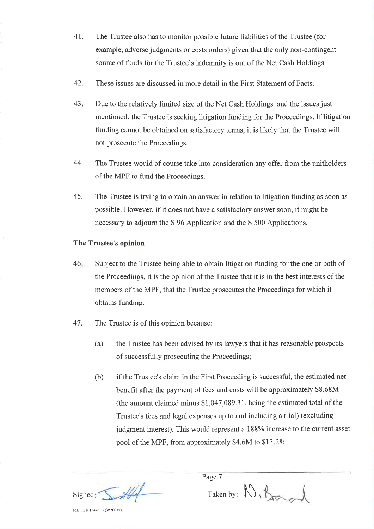- 4t. The Trustee also has to monitor possible future liabilities of the Trustee (for example, adverse judgments or costs orders) given that the only non-contingent source of funds for the Trustee's indemnity is out of the Net Cash Holdings.
- 42. These issues are discussed in more detail in the First Statement of Facts.
- 43 Due to the relatively limited size of the Net Cash Holdings and the issues just mentioned, the Trustee is seeking litigation funding for the Proceedings. If litigation funding cannot be obtained on satisfactory terms, it is likely that the Trustee will not prosecute the Proceedings.
- 44. The Trustee would of course take into consideration any offer from the unitholders of the MPF to fund the Proceedings.
- 45. The Trustee is trying to obtain an answer in relation to litigation funding as soon as possible. However, if it does not have a satisfactory answer soon, it might be necessary to adjourn the S 96 Application and the S 500 Applications.

# The Trustee's opinion

- Subject to the Trustee being able to obtain litigation funding for the one or both of the Proceedings, it is the opinion of the Trustee that it is in the best interests of the members of the MPF, that the Trustee prosecutes the Proceedings for which it obtains funding. 46
- 47. The Trustee is of this opinion because:
	- (a) the Trustee has been advised by its lawyers that it has reasonable prospects of successfully prosecuting the Proceedings;
	- (b) if the Trustee's claim in the First Proceeding is successful, the estimated net benefit after the payment of fees and costs will be approximately \$8.68M (the amount claimed minus \$1,047,089.31, being the estimated total of the Trustee's fees and legal expenses up to and including a trial) (excluding judgment interest). This would represent a 188% increase to the current asset pool of the MPF, from approximately \$4.6M to \$13.28;

Signed:  $\sqrt{\frac{1}{2}}$  Taken by:

Page 7

ME\_1216 13448\_3 (W2003x)